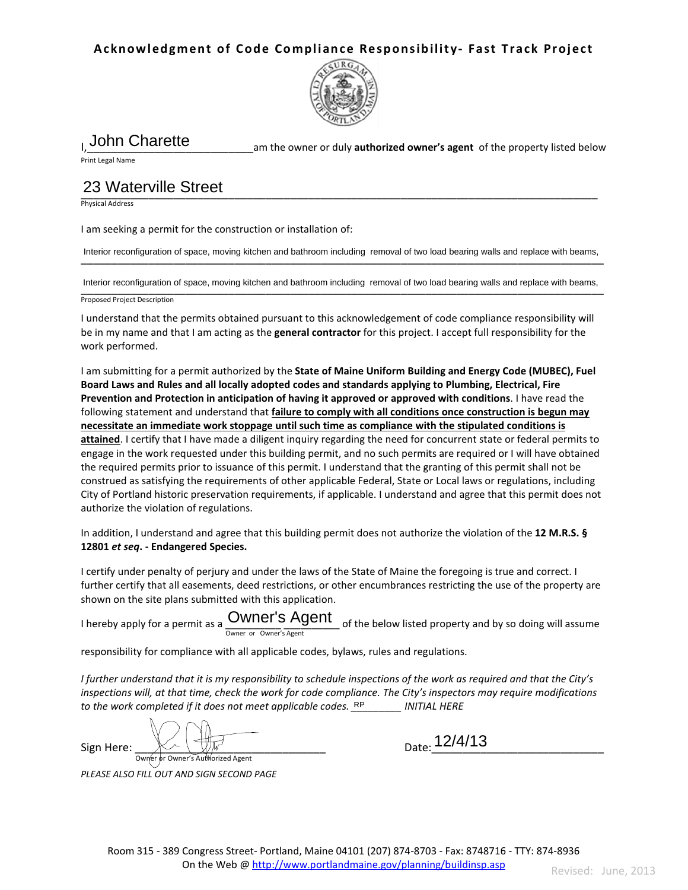### **Acknowledgment of Code Compliance Responsibility- Fast Track Project**



# John Charette

am the owner or duly **authorized owner's agent** of the property listed below

Print Legal Name

#### \_\_\_\_\_\_\_\_\_\_\_\_\_\_\_\_\_\_\_\_\_\_\_\_\_\_\_\_\_\_\_\_\_\_\_\_\_\_\_\_\_\_\_\_\_\_\_\_\_\_\_\_\_\_\_\_\_\_\_\_\_\_\_\_\_\_\_\_\_\_\_\_\_\_\_\_\_\_\_\_\_\_\_\_ 23 Waterville Street

Physical Address

I am seeking a permit for the construction or installation of:

Interior reconfiguration of space, moving kitchen and bathroom including removal of two load bearing walls and replace with beams,

Interior reconfiguration of space, moving kitchen and bathroom including removal of two load bearing walls and replace with beams,<br>
Interior reconfiguration of space, moving kitchen and bathroom including removal of two lo

Proposed Project Description

I understand that the permits obtained pursuant to this acknowledgement of code compliance responsibility will be in my name and that I am acting as the **general contractor** for this project. I accept full responsibility for the work performed.

I am submitting for a permit authorized by the **State of Maine Uniform Building and Energy Code (MUBEC), Fuel Board Laws and Rules and all locally adopted codes and standards applying to Plumbing, Electrical, Fire Prevention and Protection in anticipation of having it approved or approved with conditions**. I have read the following statement and understand that **failure to comply with all conditions once construction is begun may necessitate an immediate work stoppage until such time as compliance with the stipulated conditions is attained**. I certify that I have made a diligent inquiry regarding the need for concurrent state or federal permits to engage in the work requested under this building permit, and no such permits are required or I will have obtained the required permits prior to issuance of this permit. I understand that the granting of this permit shall not be construed as satisfying the requirements of other applicable Federal, State or Local laws or regulations, including City of Portland historic preservation requirements, if applicable. I understand and agree that this permit does not authorize the violation of regulations.

In addition, I understand and agree that this building permit does not authorize the violation of the **12 M.R.S. § 12801** *et seq***. - Endangered Species.** 

I certify under penalty of perjury and under the laws of the State of Maine the foregoing is true and correct. I further certify that all easements, deed restrictions, or other encumbrances restricting the use of the property are shown on the site plans submitted with this application.

I hereby apply for a permit as a **WITCH**  $\frac{1}{2}$   $\frac{1}{2}$  of the below listed property and by so doing will assume Owner or Owner's Agent Owner's Agent

responsibility for compliance with all applicable codes, bylaws, rules and regulations.

*I further understand that it is my responsibility to schedule inspections of the work as required and that the City's inspections will, at that time, check the work for code compliance. The City's inspectors may require modifications*  to the work completed if it does not meet applicable codes. *RP\_\_\_\_\_\_\_\_ INITIAL HERE* 

 $Sign Here: \frac{1}{\text{Ow} \cdot \text{Ow} \cdot \text{Ow}}$   $\frac{1}{\text{Ow} \cdot \text{Ow}}$  or  $\frac{1}{\text{Ow} \cdot \text{Ow}}$  or  $\frac{1}{\text{Ow} \cdot \text{Ow}}$  or  $\frac{1}{\text{Ow} \cdot \text{Ow}}$  or  $\frac{1}{\text{Ow} \cdot \text{Ow}}$  or  $\frac{1}{\text{Ow} \cdot \text{Ow}}$  or  $\frac{1}{\text{Ow} \cdot \text{Ow}}$  or  $\frac{1}{\text{Ow} \$ 

*PLEASE ALSO FILL OUT AND SIGN SECOND PAGE*

Date: 12/4/13